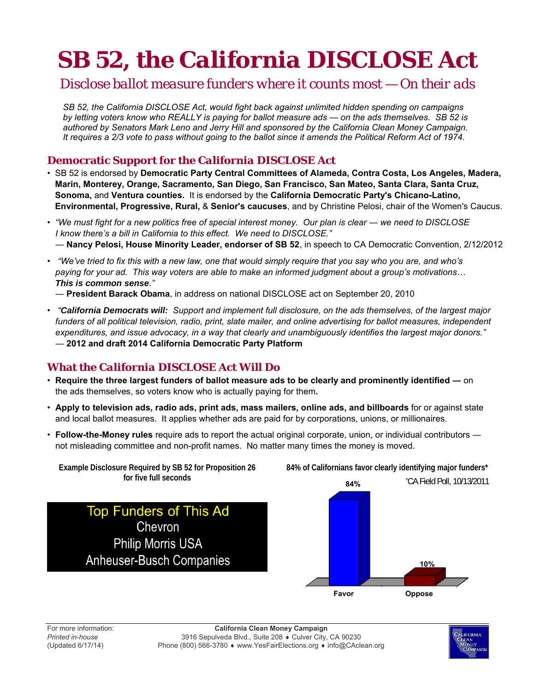# **SB 52, the** *California DISCLOSE Act*

### *Disclose ballot measure funders where it counts most — On their ads*

*SB 52, the California DISCLOSE Act, would fight back against unlimited hidden spending on campaigns by letting voters know who REALLY is paying for ballot measure ads — on the ads themselves. SB 52 is authored by Senators Mark Leno and Jerry Hill and sponsored by the California Clean Money Campaign. It requires a 2/3 vote to pass without going to the ballot since it amends the Political Reform Act of 1974.* 

### **Democratic Support for the** *California DISCLOSE Act*

- SB 52 is endorsed by **Democratic Party Central Committees of Alameda, Contra Costa, Los Angeles, Madera, Marin, Monterey, Orange, Sacramento, San Diego, San Francisco, San Mateo, Santa Clara, Santa Cruz, Sonoma,** and **Ventura counties.** It is endorsed by the **California Democratic Party's Chicano-Latino, Environmental, Progressive, Rural,** & **Senior's caucuses**, and by Christine Pelosi, chair of the Women's Caucus.
- *"We must fight for a new politics free of special interest money. Our plan is clear we need to DISCLOSE I know there's a bill in California to this effect. We need to DISCLOSE."* ― **Nancy Pelosi, House Minority Leader, endorser of SB 52**, in speech to CA Democratic Convention, 2/12/2012
- *"We've tried to fix this with a new law, one that would simply require that you say who you are, and who's paying for your ad. This way voters are able to make an informed judgment about a group's motivations… This is common sense."*

― **President Barack Obama**, in address on national DISCLOSE act on September 20, 2010

• *"California Democrats will: Support and implement full disclosure, on the ads themselves, of the largest major*  funders of all political television, radio, print, slate mailer, and online advertising for ballot measures, independent *expenditures, and issue advocacy, in a way that clearly and unambiguously identifies the largest major donors."* ― **2012 and draft 2014 California Democratic Party Platform** 

### **What the** *California DISCLOSE Act* **Will Do**

- **Require the three largest funders of ballot measure ads to be clearly and prominently identified ―** on the ads themselves, so voters know who is actually paying for them**.**
- **Apply to television ads, radio ads, print ads, mass mailers, online ads, and billboards** for or against state and local ballot measures. It applies whether ads are paid for by corporations, unions, or millionaires.
- **Follow-the-Money rules** require ads to report the actual original corporate, union, or individual contributors ― not misleading committee and non-profit names. No matter many times the money is moved.